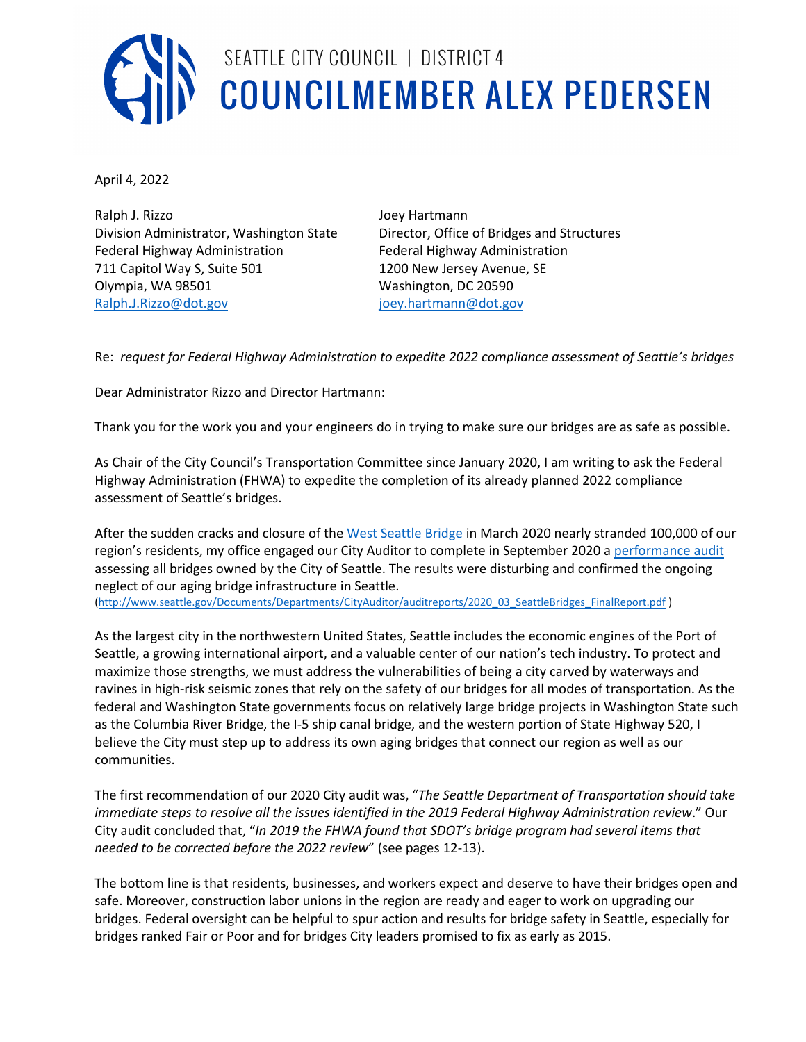

## SEATTLE CITY COUNCIL | DISTRICT 4 SEATTLE CITY COUNCIL | DISTRICT 4<br>COUNCILMEMBER ALEX PEDERSEN

April 4, 2022

Ralph J. Rizzo Joey Hartmann Federal Highway Administration Federal Highway Administration 711 Capitol Way S, Suite 501 1200 New Jersey Avenue, SE Olympia, WA 98501 Washington, DC 20590 [Ralph.J.Rizzo@dot.gov](mailto:Ralph.J.Rizzo@dot.gov) in the intervention of intervention in the intervention of the intervention of the intervention of the intervention of the intervention of the intervention of the intervention of the intervention of t

Division Administrator, Washington State Director, Office of Bridges and Structures

Re: *request for Federal Highway Administration to expedite 2022 compliance assessment of Seattle's bridges*

Dear Administrator Rizzo and Director Hartmann:

Thank you for the work you and your engineers do in trying to make sure our bridges are as safe as possible.

As Chair of the City Council's Transportation Committee since January 2020, I am writing to ask the Federal Highway Administration (FHWA) to expedite the completion of its already planned 2022 compliance assessment of Seattle's bridges.

After the sudden cracks and closure of the [West Seattle Bridge](https://www.seattle.gov/transportation/projects-and-programs/programs/bridges-stairs-and-other-structures/bridges/west-seattle-bridge-program/west-seattle-bridge-repair) in March 2020 nearly stranded 100,000 of our region's residents, my office engaged our City Auditor to complete in September 2020 a [performance audit](http://www.seattle.gov/Documents/Departments/CityAuditor/auditreports/2020_03_SeattleBridges_FinalReport.pdf) assessing all bridges owned by the City of Seattle. The results were disturbing and confirmed the ongoing neglect of our aging bridge infrastructure in Seattle.

[\(http://www.seattle.gov/Documents/Departments/CityAuditor/auditreports/2020\\_03\\_SeattleBridges\\_FinalReport.pdf](http://www.seattle.gov/Documents/Departments/CityAuditor/auditreports/2020_03_SeattleBridges_FinalReport.pdf) )

As the largest city in the northwestern United States, Seattle includes the economic engines of the Port of Seattle, a growing international airport, and a valuable center of our nation's tech industry. To protect and maximize those strengths, we must address the vulnerabilities of being a city carved by waterways and ravines in high-risk seismic zones that rely on the safety of our bridges for all modes of transportation. As the federal and Washington State governments focus on relatively large bridge projects in Washington State such as the Columbia River Bridge, the I-5 ship canal bridge, and the western portion of State Highway 520, I believe the City must step up to address its own aging bridges that connect our region as well as our communities.

The first recommendation of our 2020 City audit was, "*The Seattle Department of Transportation should take immediate steps to resolve all the issues identified in the 2019 Federal Highway Administration review*." Our City audit concluded that, "*In 2019 the FHWA found that SDOT's bridge program had several items that needed to be corrected before the 2022 review*" (see pages 12-13).

The bottom line is that residents, businesses, and workers expect and deserve to have their bridges open and safe. Moreover, construction labor unions in the region are ready and eager to work on upgrading our bridges. Federal oversight can be helpful to spur action and results for bridge safety in Seattle, especially for bridges ranked Fair or Poor and for bridges City leaders promised to fix as early as 2015.